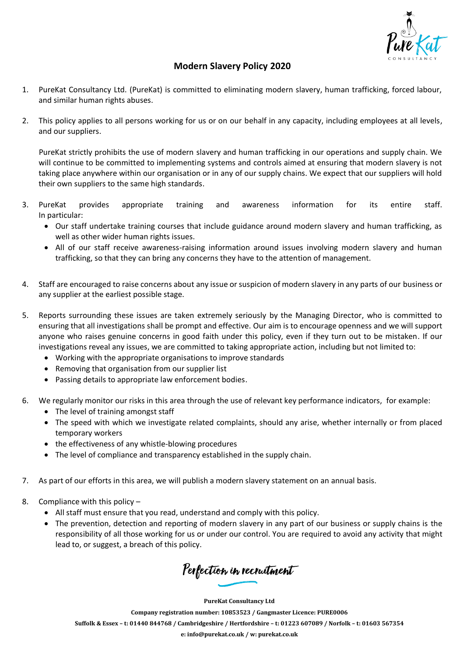

## **Modern Slavery Policy 2020**

- 1. PureKat Consultancy Ltd. (PureKat) is committed to eliminating modern slavery, human trafficking, forced labour, and similar human rights abuses.
- 2. This policy applies to all persons working for us or on our behalf in any capacity, including employees at all levels, and our suppliers.

PureKat strictly prohibits the use of modern slavery and human trafficking in our operations and supply chain. We will continue to be committed to implementing systems and controls aimed at ensuring that modern slavery is not taking place anywhere within our organisation or in any of our supply chains. We expect that our suppliers will hold their own suppliers to the same high standards.

- 3. PureKat provides appropriate training and awareness information for its entire staff. In particular:
	- Our staff undertake training courses that include guidance around modern slavery and human trafficking, as well as other wider human rights issues.
	- All of our staff receive awareness-raising information around issues involving modern slavery and human trafficking, so that they can bring any concerns they have to the attention of management.
- 4. Staff are encouraged to raise concerns about any issue or suspicion of modern slavery in any parts of our business or any supplier at the earliest possible stage.
- 5. Reports surrounding these issues are taken extremely seriously by the Managing Director, who is committed to ensuring that all investigations shall be prompt and effective. Our aim is to encourage openness and we will support anyone who raises genuine concerns in good faith under this policy, even if they turn out to be mistaken. If our investigations reveal any issues, we are committed to taking appropriate action, including but not limited to:
	- Working with the appropriate organisations to improve standards
	- Removing that organisation from our supplier list
	- Passing details to appropriate law enforcement bodies.
- 6. We regularly monitor our risks in this area through the use of relevant key performance indicators, for example:
	- The level of training amongst staff
	- The speed with which we investigate related complaints, should any arise, whether internally or from placed temporary workers
	- the effectiveness of any whistle-blowing procedures
	- The level of compliance and transparency established in the supply chain.
- 7. As part of our efforts in this area, we will publish a modern slavery statement on an annual basis.
- 8. Compliance with this policy
	- All staff must ensure that you read, understand and comply with this policy.
	- The prevention, detection and reporting of modern slavery in any part of our business or supply chains is the responsibility of all those working for us or under our control. You are required to avoid any activity that might lead to, or suggest, a breach of this policy.

Perfection in recruitment

**PureKat Consultancy Ltd**

**Company registration number: 10853523 / Gangmaster Licence: PURE0006** Suffolk & Essex - t: 01440 844768 / Cambridgeshire / Hertfordshire - t: 01223 607089 / Norfolk - t: 01603 567354 **e: [info@purekat.co.uk](mailto:info@purekat.co.uk) / w: purekat.co.uk**